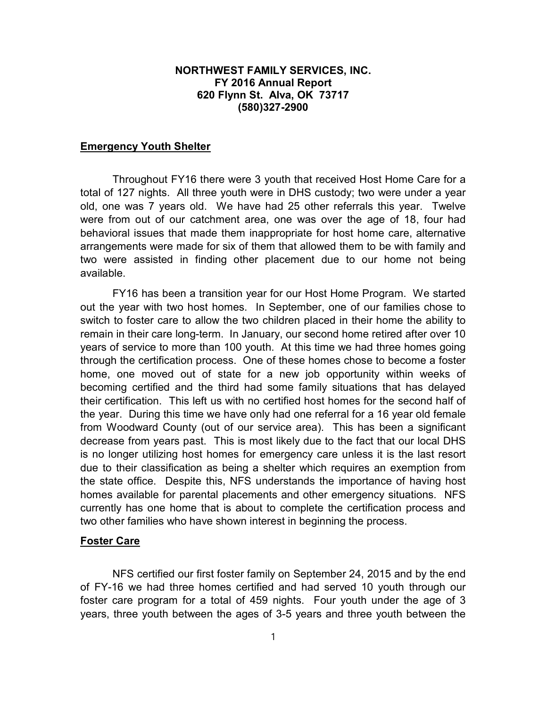# NORTHWEST FAMILY SERVICES, INC. FY 2016 Annual Report 620 Flynn St. Alva, OK 73717 (580)327-2900

## Emergency Youth Shelter

Throughout FY16 there were 3 youth that received Host Home Care for a total of 127 nights. All three youth were in DHS custody; two were under a year old, one was 7 years old. We have had 25 other referrals this year. Twelve were from out of our catchment area, one was over the age of 18, four had behavioral issues that made them inappropriate for host home care, alternative arrangements were made for six of them that allowed them to be with family and two were assisted in finding other placement due to our home not being available.

FY16 has been a transition year for our Host Home Program. We started out the year with two host homes. In September, one of our families chose to switch to foster care to allow the two children placed in their home the ability to remain in their care long-term. In January, our second home retired after over 10 years of service to more than 100 youth. At this time we had three homes going through the certification process. One of these homes chose to become a foster home, one moved out of state for a new job opportunity within weeks of becoming certified and the third had some family situations that has delayed their certification. This left us with no certified host homes for the second half of the year. During this time we have only had one referral for a 16 year old female from Woodward County (out of our service area). This has been a significant decrease from years past. This is most likely due to the fact that our local DHS is no longer utilizing host homes for emergency care unless it is the last resort due to their classification as being a shelter which requires an exemption from the state office. Despite this, NFS understands the importance of having host homes available for parental placements and other emergency situations. NFS currently has one home that is about to complete the certification process and two other families who have shown interest in beginning the process.

#### Foster Care

NFS certified our first foster family on September 24, 2015 and by the end of FY-16 we had three homes certified and had served 10 youth through our foster care program for a total of 459 nights. Four youth under the age of 3 years, three youth between the ages of 3-5 years and three youth between the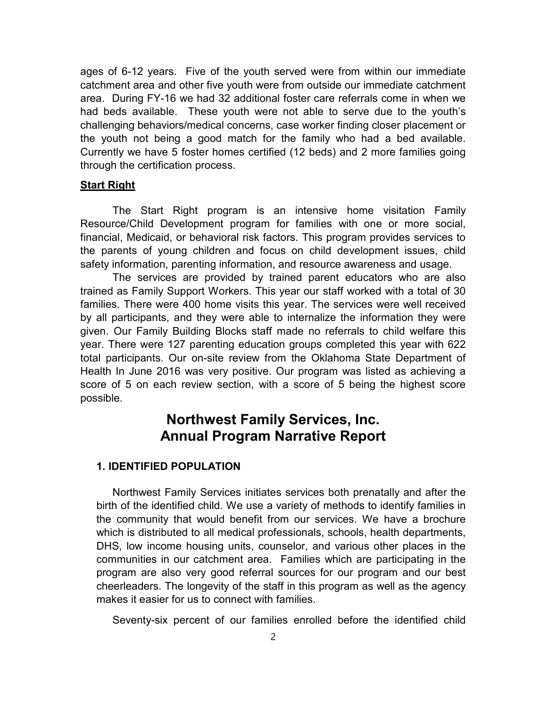ages of 6-12 years. Five of the youth served were from within our immediate catchment area and other five youth were from outside our immediate catchment area. During FY-16 we had 32 additional foster care referrals come in when we had beds available. These youth were not able to serve due to the youth's challenging behaviors/medical concerns, case worker finding closer placement or the youth not being a good match for the family who had a bed available. Currently we have 5 foster homes certified (12 beds) and 2 more families going through the certification process.

#### **<u>Start Right</u>**

The Start Right program is an intensive home visitation Family Resource/Child Development program for families with one or more social, financial, Medicaid, or behavioral risk factors. This program provides services to the parents of young children and focus on child development issues, child safety information, parenting information, and resource awareness and usage.

The services are provided by trained parent educators who are also trained as Family Support Workers. This year our staff worked with a total of 30 families. There were 400 home visits this year. The services were well received by all participants, and they were able to internalize the information they were given. Our Family Building Blocks staff made no referrals to child welfare this year. There were 127 parenting education groups completed this year with 622 total participants. Our on-site review from the Oklahoma State Department of Health In June 2016 was very positive. Our program was listed as achieving a score of 5 on each review section, with a score of 5 being the highest score possible.

# Northwest Family Services, Inc. Annual Program Narrative Report

## 1. IDENTIFIED POPULATION

Northwest Family Services initiates services both prenatally and after the birth of the identified child. We use a variety of methods to identify families in the community that would benefit from our services. We have a brochure which is distributed to all medical professionals, schools, health departments, DHS, low income housing units, counselor, and various other places in the communities in our catchment area. Families which are participating in the program are also very good referral sources for our program and our best cheerleaders. The longevity of the staff in this program as well as the agency makes it easier for us to connect with families.

Seventy-six percent of our families enrolled before the identified child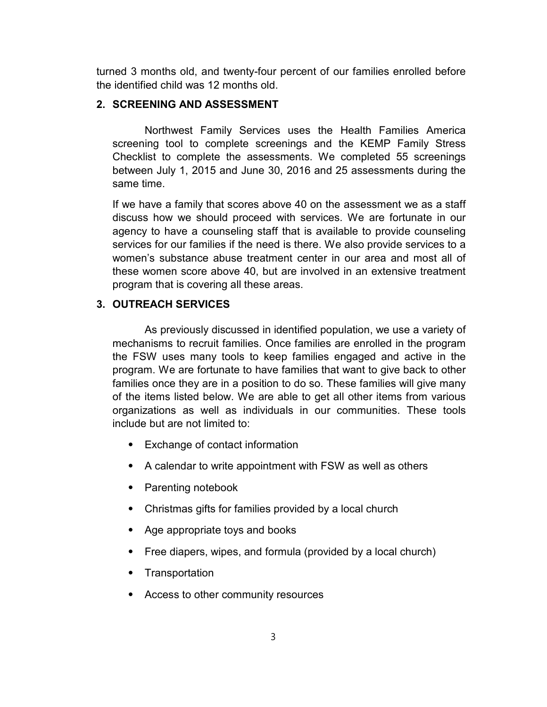turned 3 months old, and twenty-four percent of our families enrolled before the identified child was 12 months old.

# 2. SCREENING AND ASSESSMENT

Northwest Family Services uses the Health Families America screening tool to complete screenings and the KEMP Family Stress Checklist to complete the assessments. We completed 55 screenings between July 1, 2015 and June 30, 2016 and 25 assessments during the same time.

If we have a family that scores above 40 on the assessment we as a staff discuss how we should proceed with services. We are fortunate in our agency to have a counseling staff that is available to provide counseling services for our families if the need is there. We also provide services to a women's substance abuse treatment center in our area and most all of these women score above 40, but are involved in an extensive treatment program that is covering all these areas.

# 3. OUTREACH SERVICES

As previously discussed in identified population, we use a variety of mechanisms to recruit families. Once families are enrolled in the program the FSW uses many tools to keep families engaged and active in the program. We are fortunate to have families that want to give back to other families once they are in a position to do so. These families will give many of the items listed below. We are able to get all other items from various organizations as well as individuals in our communities. These tools include but are not limited to:

- ⦁ Exchange of contact information
- ⦁ A calendar to write appointment with FSW as well as others
- ⦁ Parenting notebook
- ⦁ Christmas gifts for families provided by a local church
- ⦁ Age appropriate toys and books
- ⦁ Free diapers, wipes, and formula (provided by a local church)
- ⦁ Transportation
- ⦁ Access to other community resources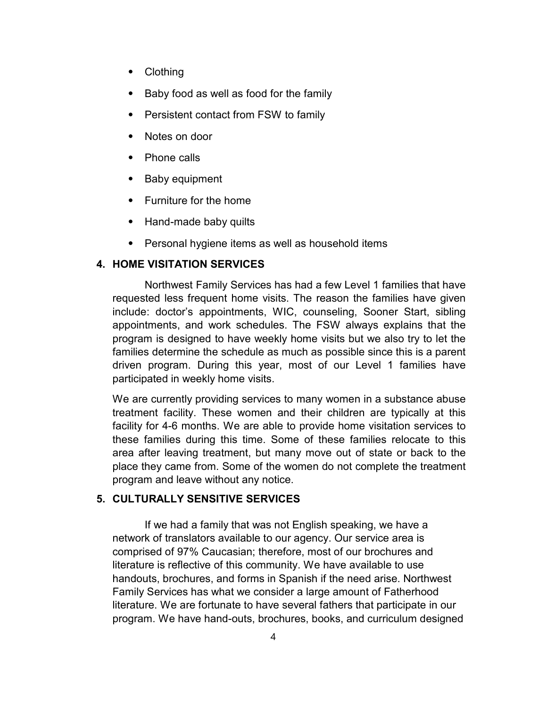- **Clothing**
- Baby food as well as food for the family
- ⦁ Persistent contact from FSW to family
- Notes on door
- ⦁ Phone calls
- Baby equipment
- ⦁ Furniture for the home
- Hand-made baby quilts
- ⦁ Personal hygiene items as well as household items

# 4. HOME VISITATION SERVICES

Northwest Family Services has had a few Level 1 families that have requested less frequent home visits. The reason the families have given include: doctor's appointments, WIC, counseling, Sooner Start, sibling appointments, and work schedules. The FSW always explains that the program is designed to have weekly home visits but we also try to let the families determine the schedule as much as possible since this is a parent driven program. During this year, most of our Level 1 families have participated in weekly home visits.

We are currently providing services to many women in a substance abuse treatment facility. These women and their children are typically at this facility for 4-6 months. We are able to provide home visitation services to these families during this time. Some of these families relocate to this area after leaving treatment, but many move out of state or back to the place they came from. Some of the women do not complete the treatment program and leave without any notice.

# 5. CULTURALLY SENSITIVE SERVICES

If we had a family that was not English speaking, we have a network of translators available to our agency. Our service area is comprised of 97% Caucasian; therefore, most of our brochures and literature is reflective of this community. We have available to use handouts, brochures, and forms in Spanish if the need arise. Northwest Family Services has what we consider a large amount of Fatherhood literature. We are fortunate to have several fathers that participate in our program. We have hand-outs, brochures, books, and curriculum designed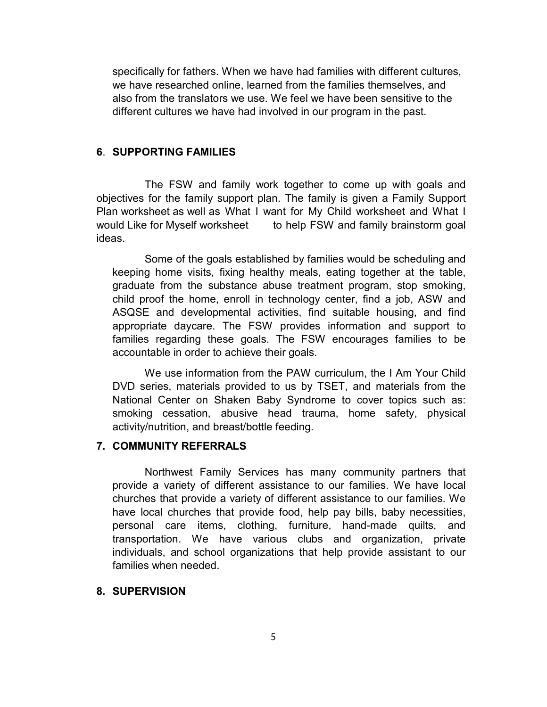specifically for fathers. When we have had families with different cultures, we have researched online, learned from the families themselves, and also from the translators we use. We feel we have been sensitive to the different cultures we have had involved in our program in the past.

## 6. SUPPORTING FAMILIES

The FSW and family work together to come up with goals and objectives for the family support plan. The family is given a Family Support Plan worksheet as well as What I want for My Child worksheet and What I would Like for Myself worksheet to help FSW and family brainstorm goal ideas.

Some of the goals established by families would be scheduling and keeping home visits, fixing healthy meals, eating together at the table, graduate from the substance abuse treatment program, stop smoking, child proof the home, enroll in technology center, find a job, ASW and ASQSE and developmental activities, find suitable housing, and find appropriate daycare. The FSW provides information and support to families regarding these goals. The FSW encourages families to be accountable in order to achieve their goals.

We use information from the PAW curriculum, the I Am Your Child DVD series, materials provided to us by TSET, and materials from the National Center on Shaken Baby Syndrome to cover topics such as: smoking cessation, abusive head trauma, home safety, physical activity/nutrition, and breast/bottle feeding.

# 7. COMMUNITY REFERRALS

Northwest Family Services has many community partners that provide a variety of different assistance to our families. We have local churches that provide a variety of different assistance to our families. We have local churches that provide food, help pay bills, baby necessities, personal care items, clothing, furniture, hand-made quilts, and transportation. We have various clubs and organization, private individuals, and school organizations that help provide assistant to our families when needed

# 8. SUPERVISION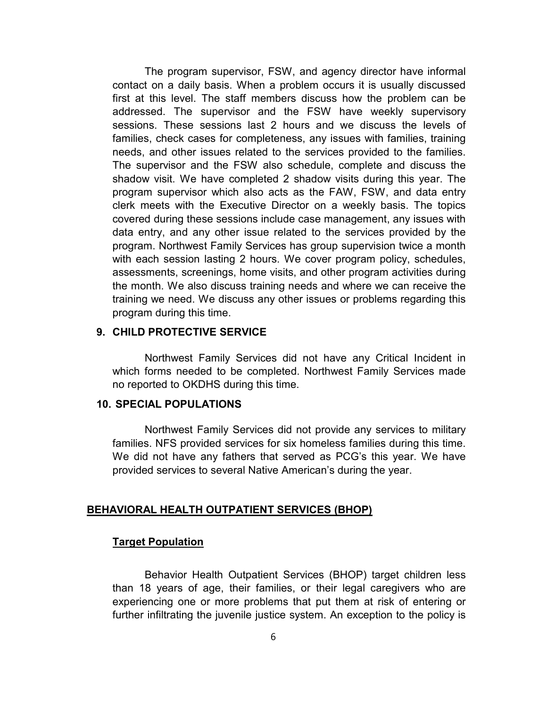The program supervisor, FSW, and agency director have informal contact on a daily basis. When a problem occurs it is usually discussed first at this level. The staff members discuss how the problem can be addressed. The supervisor and the FSW have weekly supervisory sessions. These sessions last 2 hours and we discuss the levels of families, check cases for completeness, any issues with families, training needs, and other issues related to the services provided to the families. The supervisor and the FSW also schedule, complete and discuss the shadow visit. We have completed 2 shadow visits during this year. The program supervisor which also acts as the FAW, FSW, and data entry clerk meets with the Executive Director on a weekly basis. The topics covered during these sessions include case management, any issues with data entry, and any other issue related to the services provided by the program. Northwest Family Services has group supervision twice a month with each session lasting 2 hours. We cover program policy, schedules, assessments, screenings, home visits, and other program activities during the month. We also discuss training needs and where we can receive the training we need. We discuss any other issues or problems regarding this program during this time.

# 9. CHILD PROTECTIVE SERVICE

Northwest Family Services did not have any Critical Incident in which forms needed to be completed. Northwest Family Services made no reported to OKDHS during this time.

# 10. SPECIAL POPULATIONS

Northwest Family Services did not provide any services to military families. NFS provided services for six homeless families during this time. We did not have any fathers that served as PCG's this year. We have provided services to several Native American's during the year.

## BEHAVIORAL HEALTH OUTPATIENT SERVICES (BHOP)

## Target Population

Behavior Health Outpatient Services (BHOP) target children less than 18 years of age, their families, or their legal caregivers who are experiencing one or more problems that put them at risk of entering or further infiltrating the juvenile justice system. An exception to the policy is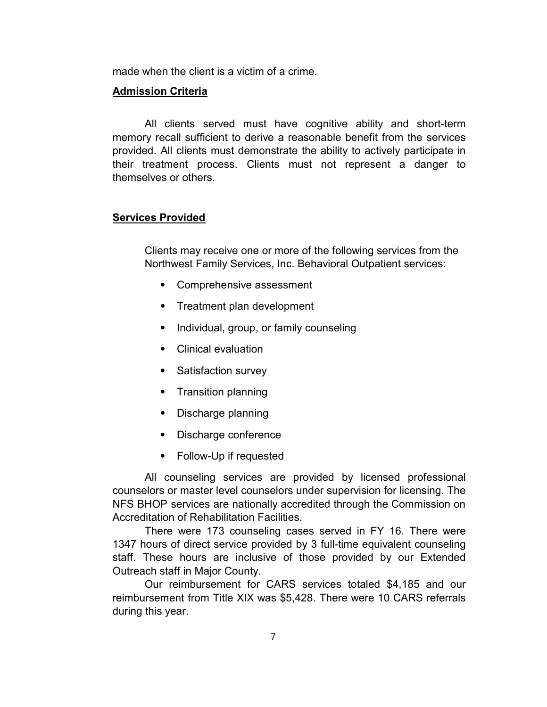made when the client is a victim of a crime.

## Admission Criteria

All clients served must have cognitive ability and short-term memory recall sufficient to derive a reasonable benefit from the services provided. All clients must demonstrate the ability to actively participate in their treatment process. Clients must not represent a danger to themselves or others.

# Services Provided

Clients may receive one or more of the following services from the Northwest Family Services, Inc. Behavioral Outpatient services:

- ⦁ Comprehensive assessment
- ⦁ Treatment plan development
- ⦁ Individual, group, or family counseling
- ⦁ Clinical evaluation
- ⦁ Satisfaction survey
- ⦁ Transition planning
- ⦁ Discharge planning
- ⦁ Discharge conference
- ⦁ Follow-Up if requested

All counseling services are provided by licensed professional counselors or master level counselors under supervision for licensing. The NFS BHOP services are nationally accredited through the Commission on Accreditation of Rehabilitation Facilities.

There were 173 counseling cases served in FY 16. There were 1347 hours of direct service provided by 3 full-time equivalent counseling staff. These hours are inclusive of those provided by our Extended Outreach staff in Major County.

Our reimbursement for CARS services totaled \$4,185 and our reimbursement from Title XIX was \$5,428. There were 10 CARS referrals during this year.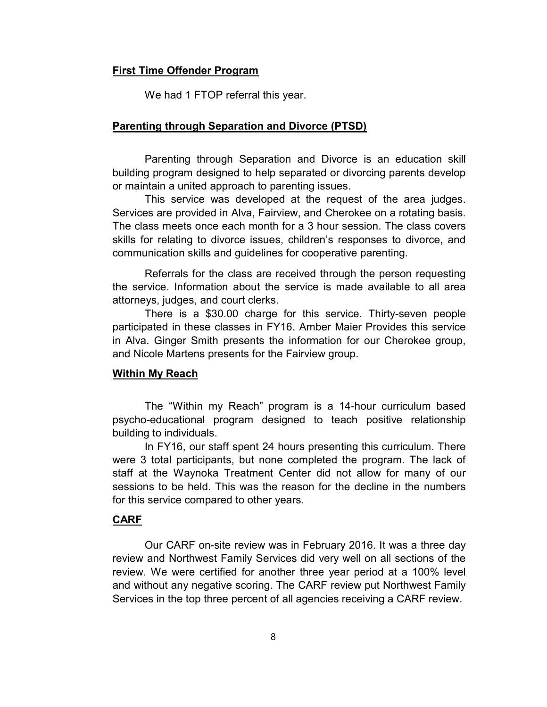## First Time Offender Program

We had 1 FTOP referral this year.

#### Parenting through Separation and Divorce (PTSD)

Parenting through Separation and Divorce is an education skill building program designed to help separated or divorcing parents develop or maintain a united approach to parenting issues.

This service was developed at the request of the area judges. Services are provided in Alva, Fairview, and Cherokee on a rotating basis. The class meets once each month for a 3 hour session. The class covers skills for relating to divorce issues, children's responses to divorce, and communication skills and guidelines for cooperative parenting.

Referrals for the class are received through the person requesting the service. Information about the service is made available to all area attorneys, judges, and court clerks.

There is a \$30.00 charge for this service. Thirty-seven people participated in these classes in FY16. Amber Maier Provides this service in Alva. Ginger Smith presents the information for our Cherokee group, and Nicole Martens presents for the Fairview group.

## Within My Reach

The "Within my Reach" program is a 14-hour curriculum based psycho-educational program designed to teach positive relationship building to individuals.

In FY16, our staff spent 24 hours presenting this curriculum. There were 3 total participants, but none completed the program. The lack of staff at the Waynoka Treatment Center did not allow for many of our sessions to be held. This was the reason for the decline in the numbers for this service compared to other years.

# CARF

Our CARF on-site review was in February 2016. It was a three day review and Northwest Family Services did very well on all sections of the review. We were certified for another three year period at a 100% level and without any negative scoring. The CARF review put Northwest Family Services in the top three percent of all agencies receiving a CARF review.